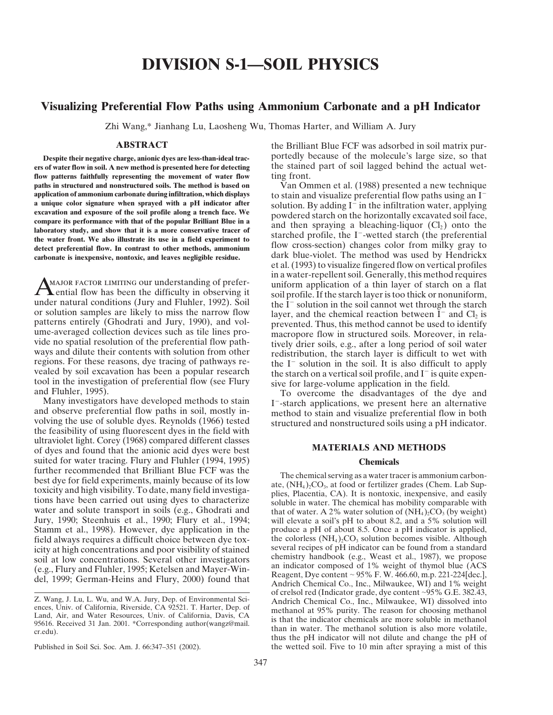# **DIVISION S-1—SOIL PHYSICS**

## **Visualizing Preferential Flow Paths using Ammonium Carbonate and a pH Indicator**

Zhi Wang,\* Jianhang Lu, Laosheng Wu, Thomas Harter, and William A. Jury

**ers of water flow in soil. A new method is presented here for detecting** the stained part of soil lagged behind the actual wet**flow patterns faithfully representing the movement of water flow** ting front. **paths in structured and nonstructured soils. The method is based on** Van Ommen et al. (1988) presented a new technique application of ammonium carbonate during infiltration, which displays to stain and visualize preferent **application of ammonium carbonate during infiltration, which displays** to stain and visualize preferential flow paths using an I<sup>-</sup><br>**a unique color signature when sprayed with a pH indicator after** solution. By adding I<sup>-</sup>

patterns entirely (Ghodrati and Jury, 1990), and vol-<br>ume-averaged collection devices such as tile lines pro-<br>view macropore flow in structured soils. Moreover, in rela-<br>view on patal resolution of the preferential flow pa

ultraviolet light. Corey (1968) compared different classes<br>
of dyes and found that the anionic acid dyes were best<br> **MATERIALS AND METHODS** suited for water tracing. Flury and Fluhler (1994, 1995) **Chemicals**<br>further recommended that Brilliant Blue FCF was the further recommended that Brilliant Blue FCF was the<br>best dye for field experiments, mainly because of its low<br>toxicity and high visibility. To date, many field investiga-<br>tions have been carried out using dyes to characte

**ABSTRACT** the Brilliant Blue FCF was adsorbed in soil matrix pur-**Despite their negative charge, anionic dyes are less-than-ideal trac-** portedly because of the molecule's large size, so that

a unique color signature when sprayed with a pH indicator after<br>excavation and exposure of the soil profile along a trench face. We<br>compare its performance with that of the popular Brilliant Blue in a<br>laboratory study, an **carbonate is inexpensive, nontoxic, and leaves negligible residue.** dark blue-violet. The method was used by Hendrickx et al. (1993) to visualize fingered flow on vertical profiles **AMAJOR FACTOR LIMITING OUT understanding of prefer-**<br> **AMAJOR FACTOR LIMITING OUT understanding of prefer-**<br> **AMAJOR FACTOR LIMITING OUT understanding of prefer-**<br> **AMAJOR FACTOR LIMITING OUT understanding of prefer-**<br>

Jury, 1990; Steenhuis et al., 1990; Flury et al., 1994; will elevate a soil's pH to about 8.2, and a 5% solution will Stamm et al., 1998). However, dye application in the produce a pH of about 8.5. Once a pH indicator is applied, field always requires a difficult choice between dye tox-<br>the colorless  $(NH_4)_2CO_3$  solution becomes visible. field always requires a difficult choice between dye tox-<br>icity at high concentrations and poor visibility of stained<br>several recipes of pH indicator can be found from a standard icity at high concentrations and poor visibility of stained<br>soil at low concentrations. Several other investigators<br>(e.g., Flury and Fluhler, 1995; Ketelsen and Mayer-Windell, 1999; German-Heins and Flury, 2000) found that Z. Wang, J. Lu, L. Wu, and W.A. Jury, Dep. of Environmental Sciences, Univ. of California, Riverside, CA 92521. T. Harter, Dep. of Crelsol red (Indicator grade, dye content ~95% G.E. 382.43,<br>
Land, Air, and Water Resources Published in Soil Sci. Soc. Am. J. 66:347-351 (2002). the wetted soil. Five to 10 min after spraying a mist of this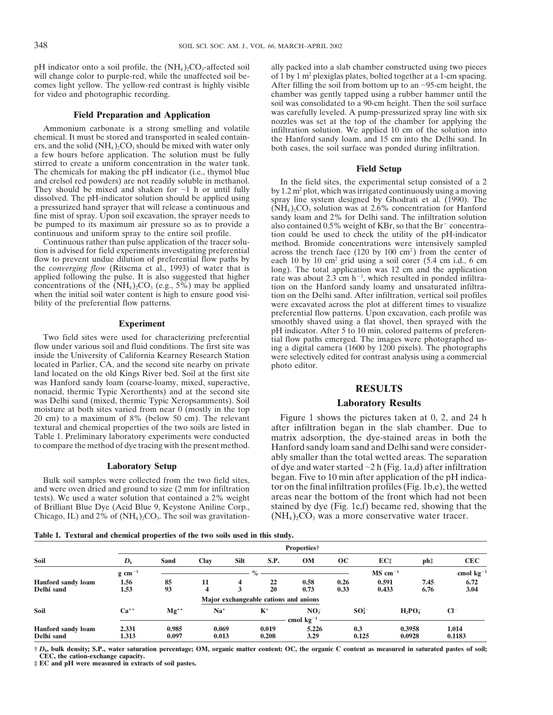pH indicator onto a soil profile, the  $(NH_4)_2CO_3$ -affected soil ally packed into a slab chamber constructed using two pieces will change color to purple-red, while the unaffected soil be-<br>of 1 by 1 m<sup>2</sup> plexiglas plates,

stirred to create a uniform concentration in the water tank.<br>The chemicals for making the pH indicator (i.e., thymol blue<br>and crelsol red powders) are not readily soluble in methanol. In the field sites, the experimenta and crelsol red powders) are not readily soluble in methanol. In the field sites, the experimental setup consisted of a 2<br>They should be mixed and shaken for  $\sim$ 1 h or until fully<br>dissolved. The pH-indicator solution sho

applied following the pulse. It is also suggested that higher rate was about 2.3 cm  $h^{-1}$ , which resulted in ponded infiltra-<br>concentrations of the  $(NH_4)_2CO_3$  (e.g., 5%) may be applied tion on the Hanford sandy loamy an

located in Parlier, CA, and the second site nearby on private photo editor. land located on the old Kings River bed. Soil at the first site was Hanford sandy loam (coarse-loamy, mixed, superactive, nonacid, thermic Typic Xerorthents) and at the second site **RESULTS**<br>was Delhi sand (mixed, thermic Typic Xeropsamments). Soil was Delhi sand (mixed, thermic Typic Xeropsamments). Soil **Laboratory Results** moisture at both sites varied from near 0 (mostly in the top 20 cm) to a maximum of 8% (below 50 cm). The relevant Figure 1 shows the pictures taken at 0, 2, and 24 h textural and chemical properties of the two soils are listed in after infiltration began in the slab chamber. Due to textural and chemical properties of the two soils are listed in Table 1. Preliminary laboratory experiments were conducted

tests). We used a water solution that contained a 2% weight areas near the bottom of the front which had not been<br>of Brilliant Blue Dye (Acid Blue 9, Keystone Aniline Corp., stained by dye (Fig. 1c,f) became red, showing t of Brilliant Blue Dye (Acid Blue 9, Keystone Aniline Corp., stained by dye (Fig. 1c,f) became red, showing that Chicago, IL) and 2% of (NH<sub>4</sub>)<sub>2</sub>CO<sub>3</sub>. The soil was gravitation- (NH<sub>4</sub>)<sub>2</sub>CO<sub>3</sub> was a more conservative wat Chicago, IL) and 2% of  $(NH<sub>4</sub>)<sub>2</sub>CO<sub>3</sub>$ . The soil was gravitation-

of 1 by 1 m<sup>2</sup> plexiglas plates, bolted together at a 1-cm spacing. comes light yellow. The yellow-red contrast is highly visible After filling the soil from bottom up to an ~95-cm height, the chamber was gently tapped using a rubber hammer until the chamber was gently tapped using a rubbe chamber was gently tapped using a rubber hammer until the soil was consolidated to a 90-cm height. Then the soil surface **Field Preparation and Application**<br> **Example 10** Consequence and transported in sealed contain-<br>
The must be stored and transported in sealed contain-<br>
The Hanford sandy loam, and 15 cm into the Delhi sand. In<br>
a few hou

fine mist of spray. Upon soil excavation, the sprayer needs to<br>be pumped to its maximum air pressure so as to provide a<br>continuous and uniform spray to the entire soil profile.<br>continuous and uniform spray to the entire so continuous and uniform spray to the entire soil profile. tion could be used to check the utility of the pH-indicator<br>Continuous rather than pulse application of the tracer solu-<br>tion is advised for field experiments inves preferential flow patterns. Upon excavation, each profile was **Experiment** smoothly shaved using a flat shovel, then sprayed with the pH indicator. After 5 to 10 min, colored patterns of preferen-Two field sites were used for characterizing preferential<br>flow paths emerged. The images were photographed us-<br>flow under various soil and fluid conditions. The first site was<br>inside the University of California Kearney Re

Table 1. Preliminary laboratory experiments were conducted matrix adsorption, the dye-stained areas in both the to compare the method of dye tracing with the present method. Hanford sandy loam sand and Delhi sand were cons ably smaller than the total wetted areas. The separation **Laboratory Setup** of dye and water started ~2 h (Fig. 1a,d) after infiltration Bulk soil samples were collected from the two field sites, began. Five to 10 min after application of the pH indica-<br>and were oven dried and ground to size (2 mm for infiltration tor on the final infiltration profiles (Fig tor on the final infiltration profiles (Fig. 1b,e), the wetted areas near the bottom of the front which had not been

**Table 1. Textural and chemical properties of the two soils used in this study.**

|                           | Properties†                   |           |       |             |                |                                       |             |                       |             |                |
|---------------------------|-------------------------------|-----------|-------|-------------|----------------|---------------------------------------|-------------|-----------------------|-------------|----------------|
| Soil                      | $\boldsymbol{D}_{\mathrm{h}}$ | Sand      | Clay  | <b>Silt</b> | S.P.           | <b>OM</b>                             | $\bf OC$    | EC <sub>2</sub>       | ph‡         | <b>CEC</b>     |
|                           | $g \text{ cm}^{-3}$           |           |       |             | $\%$           |                                       |             | $MS$ cm <sup>-1</sup> |             | cmol $kg^{-1}$ |
| <b>Hanford sandy loam</b> | 1.56                          | 85        | 11    | 4           | 22             | 0.58                                  | 0.26        | 0.591                 | 7.45        | 6.72           |
| Delhi sand                | 1.53                          | 93        | 4     |             | 20             | 0.73                                  | 0.33        | 0.433                 | 6.76        | 3.04           |
|                           |                               |           |       |             |                | Major exchangeable cations and anions |             |                       |             |                |
| Soil                      | $Ca^{++}$                     | $Mg^{++}$ | $Na+$ |             | $\mathbf{K}^+$ | NO <sub>3</sub>                       | $SO_4^{2-}$ |                       | $H_2PO_4^-$ | $Cl^-$         |
|                           |                               |           |       |             |                | cmol $kg^{-1}$                        |             |                       |             |                |
| <b>Hanford sandy loam</b> | 2.331                         | 0.985     | 0.069 |             | 0.019          | 5.226                                 | 0.3         |                       | 0.3958      | 1.014          |
| Delhi sand                | 1.313                         | 0.097     | 0.013 |             | 0.208          | 3.29                                  | 0.125       |                       | 0.0928      | 0.1183         |

**†** *D***b, bulk density; S.P., water saturation percentage; OM, organic matter content; OC, the organic C content as measured in saturated pastes of soil; CEC, the cation-exchange capacity.**

**‡ EC and pH were measured in extracts of soil pastes.**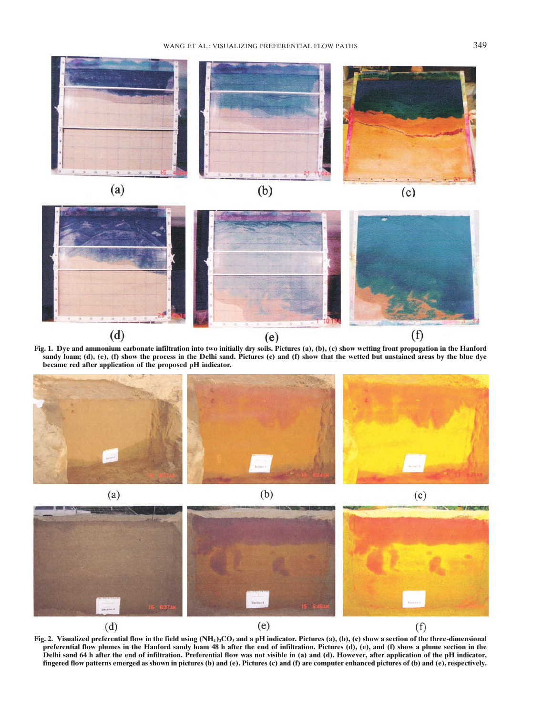





**Fig. 1. Dye and ammonium carbonate infiltration into two initially dry soils. Pictures (a), (b), (c) show wetting front propagation in the Hanford sandy loam; (d), (e), (f) show the process in the Delhi sand. Pictures (c) and (f) show that the wetted but unstained areas by the blue dye became red after application of the proposed pH indicator.**





**Fig. 2.** Visualized preferential flow in the field using  $(NH_4)_2CO_3$  and a pH indicator. Pictures (a), (b), (c) show a section of the three-dimensional preferential flow plumes in the Hanford sandy loam 48 h after the end of infiltration. Pictures (d), (e), and (f) show a plume section in the **Delhi sand 64 h after the end of infiltration. Preferential flow was not visible in (a) and (d). However, after application of the pH indicator, fingered flow patterns emerged as shown in pictures (b) and (e). Pictures (c) and (f) are computer enhanced pictures of (b) and (e), respectively.**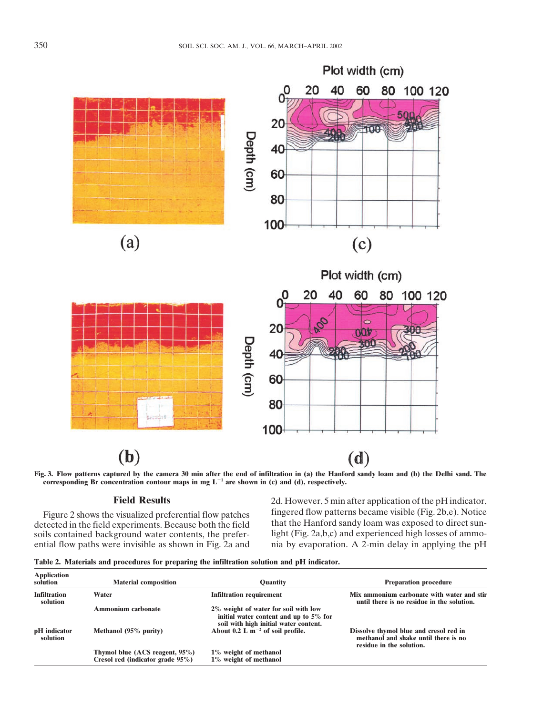

**Fig. 3. Flow patterns captured by the camera 30 min after the end of infiltration in (a) the Hanford sandy loam and (b) the Delhi sand. The** corresponding Br concentration contour maps in mg  $L^{-1}$  are shown in (c) and (d), respectively.

soils contained background water contents, the prefer-<br>ential flow paths were invisible as shown in Fig. 2a and

**Field Results** 2d. However, 5 min after application of the pH indicator, Figure 2 shows the visualized preferential flow patches fingered flow patterns became visible (Fig. 2b,e). Notice the feeder of the field experiments. Because both the field that the Hanford sandy loam was exposed to direc detected in the field experiments. Because both the field that the Hanford sandy loam was exposed to direct sun-<br>soils contained background water contents, the prefer-<br>light (Fig. 2a,b,c) and experienced high losses of amm nia by evaporation. A 2-min delay in applying the pH

|  |  | Table 2. Materials and procedures for preparing the infiltration solution and pH indicator. |  |  |  |  |  |  |  |  |
|--|--|---------------------------------------------------------------------------------------------|--|--|--|--|--|--|--|--|
|--|--|---------------------------------------------------------------------------------------------|--|--|--|--|--|--|--|--|

| <b>Application</b><br>solution  | <b>Material composition</b>                                        | <b>Quantity</b>                                                                                                         | <b>Preparation procedure</b>                                                                               |  |  |  |
|---------------------------------|--------------------------------------------------------------------|-------------------------------------------------------------------------------------------------------------------------|------------------------------------------------------------------------------------------------------------|--|--|--|
| <b>Infiltration</b><br>solution | Water                                                              | <b>Infiltration requirement</b>                                                                                         | Mix ammonium carbonate with water and stir<br>until there is no residue in the solution.                   |  |  |  |
|                                 | Ammonium carbonate                                                 | 2% weight of water for soil with low<br>initial water content and up to 5% for<br>soil with high initial water content. |                                                                                                            |  |  |  |
| pH indicator<br>solution        | Methanol (95% purity)                                              | About 0.2 L $m^{-2}$ of soil profile.                                                                                   | Dissolve thymol blue and cresol red in<br>methanol and shake until there is no<br>residue in the solution. |  |  |  |
|                                 | Thymol blue (ACS reagent, 95%)<br>Cresol red (indicator grade 95%) | 1% weight of methanol<br>1% weight of methanol                                                                          |                                                                                                            |  |  |  |